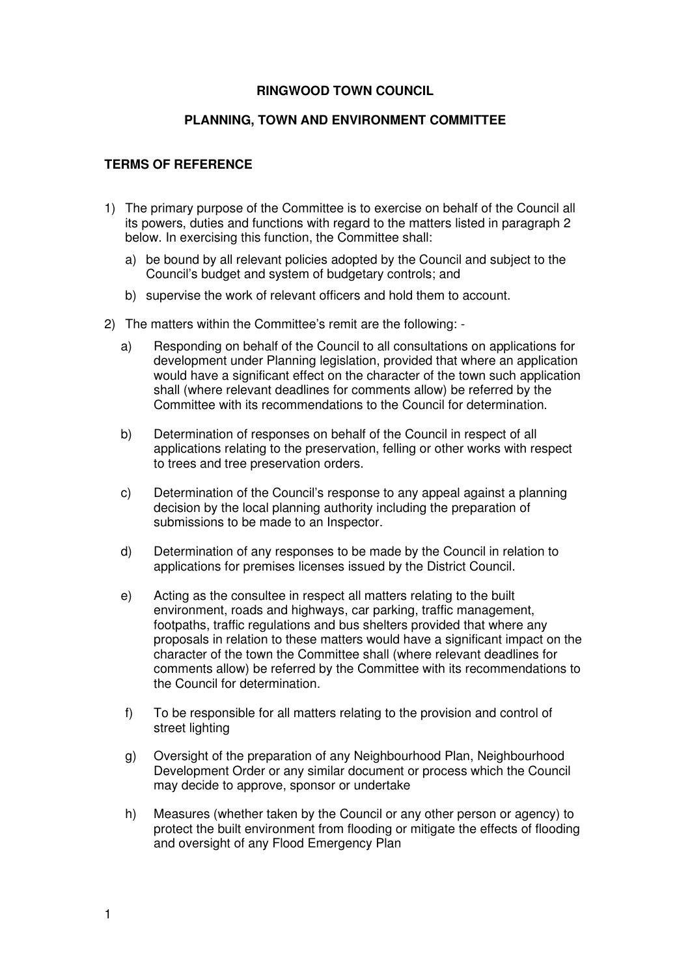## **RINGWOOD TOWN COUNCIL**

## **PLANNING, TOWN AND ENVIRONMENT COMMITTEE**

## **TERMS OF REFERENCE**

- 1) The primary purpose of the Committee is to exercise on behalf of the Council all its powers, duties and functions with regard to the matters listed in paragraph 2 below. In exercising this function, the Committee shall:
	- a) be bound by all relevant policies adopted by the Council and subject to the Council's budget and system of budgetary controls; and
	- b) supervise the work of relevant officers and hold them to account.
- 2) The matters within the Committee's remit are the following:
	- a) Responding on behalf of the Council to all consultations on applications for development under Planning legislation, provided that where an application would have a significant effect on the character of the town such application shall (where relevant deadlines for comments allow) be referred by the Committee with its recommendations to the Council for determination.
	- b) Determination of responses on behalf of the Council in respect of all applications relating to the preservation, felling or other works with respect to trees and tree preservation orders.
	- c) Determination of the Council's response to any appeal against a planning decision by the local planning authority including the preparation of submissions to be made to an Inspector.
	- d) Determination of any responses to be made by the Council in relation to applications for premises licenses issued by the District Council.
	- e) Acting as the consultee in respect all matters relating to the built environment, roads and highways, car parking, traffic management, footpaths, traffic regulations and bus shelters provided that where any proposals in relation to these matters would have a significant impact on the character of the town the Committee shall (where relevant deadlines for comments allow) be referred by the Committee with its recommendations to the Council for determination.
	- f) To be responsible for all matters relating to the provision and control of street lighting
	- g) Oversight of the preparation of any Neighbourhood Plan, Neighbourhood Development Order or any similar document or process which the Council may decide to approve, sponsor or undertake
	- h) Measures (whether taken by the Council or any other person or agency) to protect the built environment from flooding or mitigate the effects of flooding and oversight of any Flood Emergency Plan